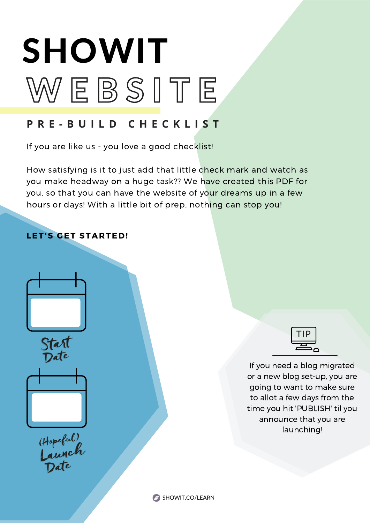# W E B S I T E SHOWIT

#### **P R E - B U I L D C H E C K L I S T**

If you are like us - you love a good checklist!

How satisfying is it to just add that little check mark and watch as you make headway on a huge task?? We have created this PDF for you, so that you can have the website of your dreams up in a few hours or days! With a little bit of prep, nothing can stop you!

#### **LET'S GET STARTED!**







Hopeful)<br>Launch<br>Date



If you need a blog migrated or a new blog set-up, you are going to want to make sure to allot a few days from the time you hit 'PUBLISH' til you announce that you are launching!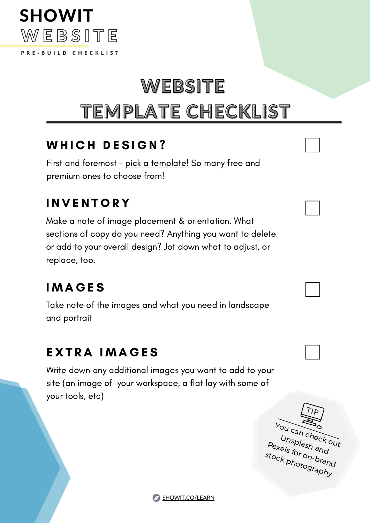

# WEBSITE

# TEMPLATE CHECKLIST

# WHICH DESIGN?

First and foremost - <u>pick a [template!](https://store.showit.co/)</u> So many free and premium ones to choose from!

# **INVENTORY**

Make a note of image placement & orientation. What sections of copy do you need? Anything you want to delete or add to your overall design? Jot down what to adjust, or replace, too.

# **IMAGES**

Take note of the images and what you need in landscape and portrait

#### **EXTRA IMAGES**

Write down any additional images you want to add to your site (an image of your workspace, a flat lay with some of your tools, etc)



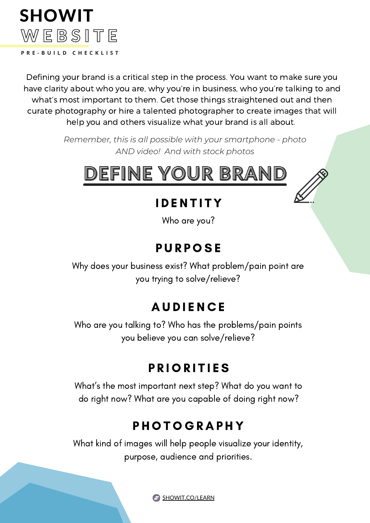

Defining your brand is a critical step in the process. You want to make sure you have clarity about who you are, why you're in business, who you're talking to and what's most important to them. Get those things straightened out and then curate photography or hire a talented photographer to create images that will help you and others visualize what your brand is all about.

> *Remember, this is all possible with your smartphone - photo AND video! And with stock photos*



## **IDENTITY**

Who are you?

#### **PURPOSE**

Why does your business exist? What problem/pain point are you trying to solve/relieve?

## **AUDIENCE**

Who are you talking to? Who has the problems/pain points you believe you can solve/relieve?

## P R I O R I T I E S

What's the most important next step? What do you want to do right now? What are you capable of doing right now?

## **PHOTOGRAPHY**

What kind of images will help people visualize your identity, purpose, audience and priorities.

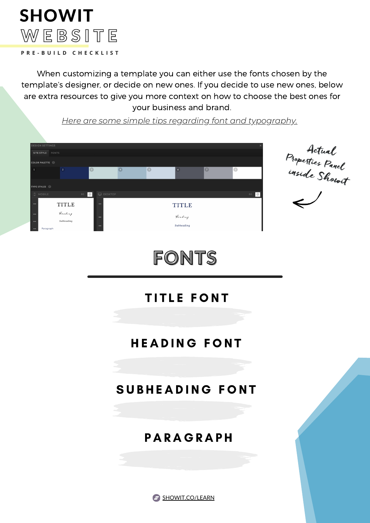# **WEBSITE P R E - B U I L D C H E C K L I S T** SHOWIT

When customizing a template you can either use the fonts chosen by the template's designer, or decide on new ones. If you decide to use new ones, below are extra resources to give you more context on how to choose the best ones for your business and brand.

Actual<br>Properties Panel<br>inside Showit<br>L **DLOR PALETTE TYPE STYLES**  $\begin{array}{|c|c|c|}\n\hline\n\textcircled{1} & \textcircled{1} & \text{DESKTOF}\n\end{array}$ BG 0 **TITLE TITLE** Heading Heading Subheading Subheading

*Here are some simple tips regarding font and [typography.](https://showit.co/websites/how-to-start-your-website-colors-and-fonts/)*

# **TITLE FONT**

FONTS

#### HEADING FONT

#### SUBHEADING FONT

#### **PARAGRAPH**

**B** [SHOWIT.CO/LEARN](https://showit.co/learn)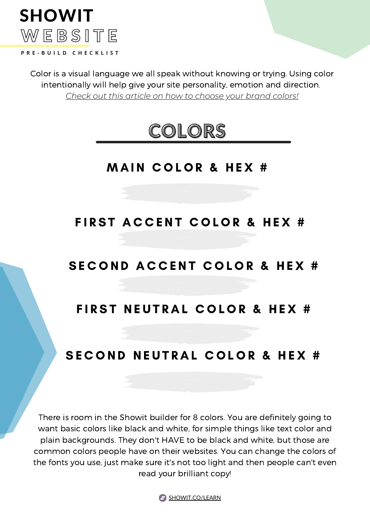

Color is a visual language we all speak without knowing or trying. Using color intentionally will help give your site personality, emotion and direction. *Check out this article on how to [choose](https://showit.co/business/choosing-your-branding-color-palette/) your brand colors!*



#### **MAIN COLOR & HEX #**

#### FIRST ACCENT COLOR & HEX #

#### SECOND ACCENT COLOR & HEX #

#### FIRST NEUTRAL COLOR & HEX #

#### SECOND NEUTRAL COLOR & HEX #

There is room in the Showit builder for 8 colors. You are definitely going to want basic colors like black and white, for simple things like text color and plain backgrounds. They don't HAVE to be black and white, but those are common colors people have on their websites. You can change the colors of the fonts you use, just make sure it's not too light and then people can't even read your brilliant copy!

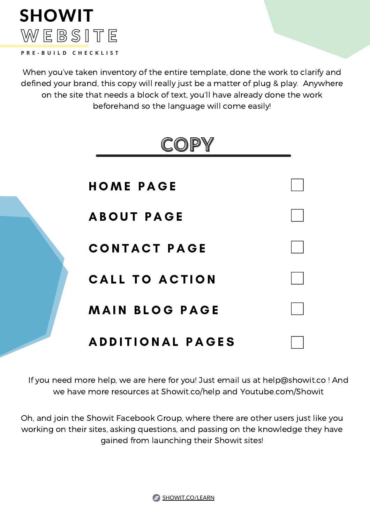# W E B S I T E **P R E - B U I L D C H E C K L I S T** SHOWIT

When you've taken inventory of the entire template, done the work to clarify and defined your brand, this copy will really just be a matter of plug & play. Anywhere on the site that needs a block of text, you'll have already done the work beforehand so the language will come easily!



If you need more help, we are here for you! Just email us at [help@showit.co](mailto:help@showit.co) ! And we have more resources at Showit.co/help and Youtube.com/Showit

Oh, and join the Showit [Facebook](https://www.facebook.com/groups/showitusers) Group, where there are other users just like you working on their sites, asking questions, and passing on the knowledge they have gained from launching their Showit sites!